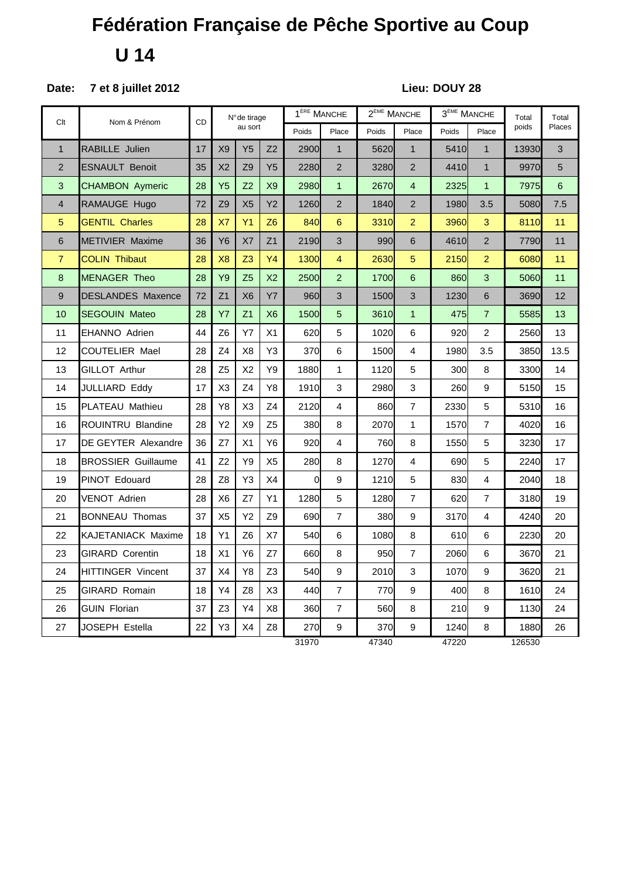## **Fédération Française de Pêche Sportive au Coup U 14**

## **Date: 7 et 8 juillet 2012 Lieu: DOUY 28**

| Clt            | Nom & Prénom              | <b>CD</b> | N° de tirage   |                |                | 1 <sup>ÈRE</sup> MANCHE |                | 2 <sup>EME</sup> MANCHE |                | $3^{\text{EME}}$ MANCHE |                | Total  | Total |
|----------------|---------------------------|-----------|----------------|----------------|----------------|-------------------------|----------------|-------------------------|----------------|-------------------------|----------------|--------|-------|
|                |                           |           | au sort        |                | Poids          | Place                   | Poids          | Place                   | Poids          | Place                   | poids          | Places |       |
| $\mathbf{1}$   | <b>RABILLE Julien</b>     | 17        | X <sub>9</sub> | Y <sub>5</sub> | Z <sub>2</sub> | 2900                    | $\mathbf{1}$   | 5620                    | $\mathbf{1}$   | 5410                    | $\mathbf{1}$   | 13930  | 3     |
| $\overline{2}$ | <b>ESNAULT Benoit</b>     | 35        | X <sub>2</sub> | Z <sub>9</sub> | Y <sub>5</sub> | 2280                    | $\overline{2}$ | 3280                    | $\overline{2}$ | 4410                    | $\mathbf{1}$   | 9970   | 5     |
| 3              | <b>CHAMBON Aymeric</b>    | 28        | Y5             | Z <sub>2</sub> | X <sub>9</sub> | 2980                    | $\mathbf{1}$   | 2670                    | $\overline{4}$ | 2325                    | $\mathbf{1}$   | 7975   | 6     |
| $\overline{4}$ | RAMAUGE Hugo              | 72        | Z <sub>9</sub> | X <sub>5</sub> | <b>Y2</b>      | 1260                    | $\overline{2}$ | 1840                    | $\overline{2}$ | 1980                    | 3.5            | 5080   | 7.5   |
| 5              | <b>GENTIL Charles</b>     | 28        | X7             | Y1             | Z <sub>6</sub> | 840                     | 6              | 3310                    | $\overline{2}$ | 3960                    | 3              | 8110   | 11    |
| 6              | <b>METIVIER Maxime</b>    | 36        | Y6             | <b>X7</b>      | Z <sub>1</sub> | 2190                    | 3              | 990                     | 6              | 4610                    | $\overline{2}$ | 7790   | 11    |
| $\overline{7}$ | <b>COLIN Thibaut</b>      | 28        | X <sub>8</sub> | Z3             | <b>Y4</b>      | 1300                    | $\overline{4}$ | 2630                    | 5              | 2150                    | $\overline{a}$ | 6080   | 11    |
| 8              | <b>MENAGER Theo</b>       | 28        | Y9             | Z5             | X <sub>2</sub> | 2500                    | $\overline{2}$ | 1700                    | 6              | 860                     | 3              | 5060   | 11    |
| 9              | <b>DESLANDES Maxence</b>  | 72        | Z1             | X <sub>6</sub> | <b>Y7</b>      | 960                     | 3              | 1500                    | 3              | 1230                    | 6              | 3690   | 12    |
| 10             | <b>SEGOUIN Mateo</b>      | 28        | Y7             | Z1             | X <sub>6</sub> | 1500                    | 5              | 3610                    | $\mathbf{1}$   | 475                     | $\overline{7}$ | 5585   | 13    |
| 11             | EHANNO Adrien             | 44        | Z <sub>6</sub> | Y7             | X1             | 620                     | 5              | 1020                    | 6              | 920                     | $\overline{2}$ | 2560   | 13    |
| 12             | COUTELIER Mael            | 28        | Z4             | X8             | Y3             | 370                     | 6              | 1500                    | 4              | 1980                    | 3.5            | 3850   | 13.5  |
| 13             | <b>GILLOT Arthur</b>      | 28        | Z <sub>5</sub> | X <sub>2</sub> | Y9             | 1880                    | $\mathbf{1}$   | 1120                    | 5              | 300                     | 8              | 3300   | 14    |
| 14             | <b>JULLIARD Eddy</b>      | 17        | X3             | Z <sub>4</sub> | Y8             | 1910                    | 3              | 2980                    | 3              | 260                     | 9              | 5150   | 15    |
| 15             | PLATEAU Mathieu           | 28        | Y8             | X <sub>3</sub> | Z4             | 2120                    | 4              | 860                     | $\overline{7}$ | 2330                    | 5              | 5310   | 16    |
| 16             | ROUINTRU Blandine         | 28        | Y2             | X9             | Z <sub>5</sub> | 380                     | 8              | 2070                    | $\mathbf{1}$   | 1570                    | $\overline{7}$ | 4020   | 16    |
| 17             | DE GEYTER Alexandre       | 36        | Z7             | X1             | Y <sub>6</sub> | 920                     | $\overline{4}$ | 760                     | 8              | 1550                    | 5              | 3230   | 17    |
| 18             | <b>BROSSIER Guillaume</b> | 41        | Z <sub>2</sub> | Y9             | X5             | 280                     | 8              | 1270                    | 4              | 690                     | 5              | 2240   | 17    |
| 19             | PINOT Edouard             | 28        | Z <sub>8</sub> | Y3             | X <sub>4</sub> | 0                       | 9              | 1210                    | 5              | 830                     | 4              | 2040   | 18    |
| 20             | <b>VENOT Adrien</b>       | 28        | X <sub>6</sub> | Z7             | Y1             | 1280                    | 5              | 1280                    | $\overline{7}$ | 620                     | $\overline{7}$ | 3180   | 19    |
| 21             | <b>BONNEAU Thomas</b>     | 37        | X <sub>5</sub> | Y2             | Z <sub>9</sub> | 690                     | $\overline{7}$ | 380                     | 9              | 3170                    | 4              | 4240   | 20    |
| 22             | KAJETANIACK Maxime        | 18        | Y1             | Z <sub>6</sub> | X7             | 540                     | 6              | 1080                    | 8              | 610                     | 6              | 2230   | 20    |
| 23             | <b>GIRARD Corentin</b>    | 18        | X <sub>1</sub> | Y6             | Z7             | 660                     | 8              | 950                     | $\overline{7}$ | 2060                    | 6              | 3670   | 21    |
| 24             | <b>HITTINGER Vincent</b>  | 37        | X4             | Y8             | Z <sub>3</sub> | 540                     | 9              | 2010                    | 3              | 1070                    | 9              | 3620   | 21    |
| 25             | GIRARD Romain             | 18        | Y4             | Z <sub>8</sub> | X <sub>3</sub> | 440                     | $\overline{7}$ | 770                     | 9              | 400                     | 8              | 1610   | 24    |
| 26             | <b>GUIN Florian</b>       | 37        | Z3             | Y4             | X8             | 360                     | $\overline{7}$ | 560                     | 8              | 210                     | 9              | 1130   | 24    |
| 27             | JOSEPH Estella            | 22        | Y3             | X <sub>4</sub> | Z <sub>8</sub> | 270                     | 9              | 370                     | 9              | 1240                    | 8              | 1880   | 26    |
|                |                           |           |                |                |                | 31970                   |                | 47340                   |                | 47220                   |                | 126530 |       |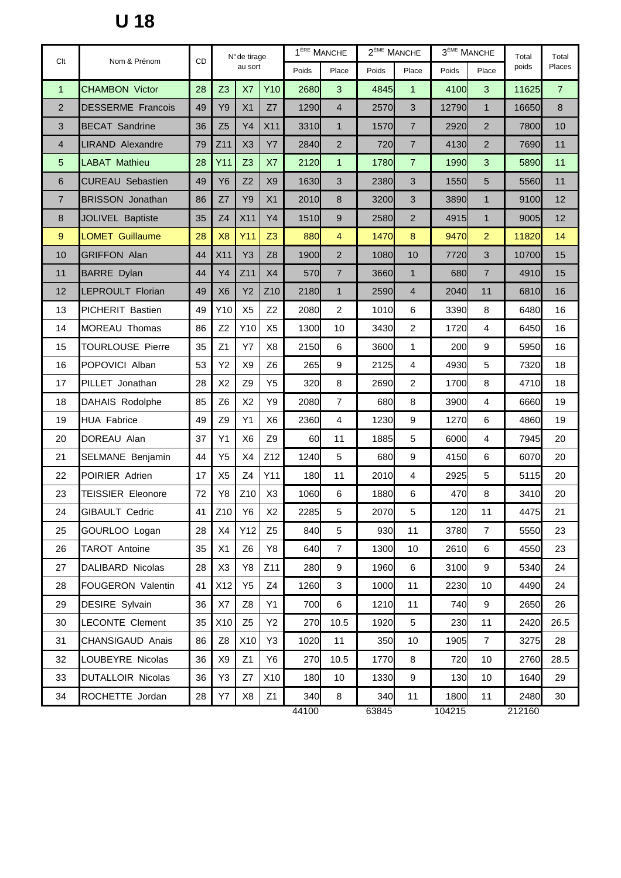## **U 18**

| Clt            | Nom & Prénom             | <b>CD</b> | N° de tirage<br>au sort |                       |                 | $1^{\text{ÈRE}}$ MANCHE |                | $2^{EME}$ MANCHE |                | $3^{\text{EME}}$ MANCHE |                | Total  | Total          |
|----------------|--------------------------|-----------|-------------------------|-----------------------|-----------------|-------------------------|----------------|------------------|----------------|-------------------------|----------------|--------|----------------|
|                |                          |           |                         |                       |                 | Poids                   | Place          | Poids            | Place          | Poids                   | Place          | poids  | Places         |
| $\mathbf{1}$   | <b>CHAMBON Victor</b>    | 28        | Z <sub>3</sub>          | X7                    | Y10             | 2680                    | 3              | 4845             | $\mathbf{1}$   | 4100                    | 3              | 11625  | $\overline{7}$ |
| $\overline{2}$ | <b>DESSERME Francois</b> | 49        | <b>Y9</b>               | X1                    | Z7              | 1290                    | $\overline{4}$ | 2570             | 3              | 12790                   | $\mathbf{1}$   | 16650  | 8              |
| 3              | <b>BECAT Sandrine</b>    | 36        | Z5                      | Y4                    | X11             | 3310                    | $\mathbf{1}$   | 1570             | $\overline{7}$ | 2920                    | $\overline{2}$ | 7800   | 10             |
| $\overline{4}$ | <b>LIRAND Alexandre</b>  | 79        | Z11                     | X3                    | Y7              | 2840                    | $\overline{2}$ | 720              | $\overline{7}$ | 4130                    | 2              | 7690   | 11             |
| 5              | <b>LABAT Mathieu</b>     | 28        | Y11                     | Z3                    | X7              | 2120                    | $\mathbf{1}$   | 1780             | $\overline{7}$ | 1990                    | 3              | 5890   | 11             |
| 6              | <b>CUREAU Sebastien</b>  | 49        | <b>Y6</b>               | Z2                    | X <sub>9</sub>  | 1630                    | 3              | 2380             | 3              | 1550                    | 5              | 5560   | 11             |
| $\overline{7}$ | <b>BRISSON Jonathan</b>  | 86        | Z7                      | Y9                    | X1              | 2010                    | 8              | 3200             | 3              | 3890                    | $\mathbf{1}$   | 9100   | 12             |
| 8              | JOLIVEL Baptiste         | 35        | Z <sub>4</sub>          | X11                   | Y4              | 1510                    | 9              | 2580             | 2              | 4915                    | $\mathbf{1}$   | 9005   | 12             |
| 9              | <b>LOMET Guillaume</b>   | 28        | X <sub>8</sub>          | Y11                   | Z <sub>3</sub>  | 880                     | 4              | 1470             | 8              | 9470                    | $\overline{2}$ | 11820  | 14             |
| 10             | <b>GRIFFON Alan</b>      | 44        | X11                     | Y <sub>3</sub>        | Z <sub>8</sub>  | 1900                    | $\overline{2}$ | 1080             | 10             | 7720                    | 3              | 10700  | 15             |
| 11             | <b>BARRE</b> Dylan       | 44        | Y4                      | Z11                   | X4              | 570                     | $\overline{7}$ | 3660             | $\mathbf{1}$   | 680                     | $\overline{7}$ | 4910   | 15             |
| 12             | LEPROULT Florian         | 49        | X <sub>6</sub>          | Y2                    | Z <sub>10</sub> | 2180                    | $\mathbf{1}$   | 2590             | $\overline{4}$ | 2040                    | 11             | 6810   | 16             |
| 13             | PICHERIT Bastien         | 49        | Y10                     | X <sub>5</sub>        | Z <sub>2</sub>  | 2080                    | $\overline{c}$ | 1010             | 6              | 3390                    | 8              | 6480   | 16             |
| 14             | MOREAU Thomas            | 86        | Z2                      | Y10                   | X <sub>5</sub>  | 1300                    | 10             | 3430             | $\overline{c}$ | 1720                    | 4              | 6450   | 16             |
| 15             | <b>TOURLOUSE Pierre</b>  | 35        | Z1                      | <b>Y7</b>             | X <sub>8</sub>  | 2150                    | 6              | 3600             | 1              | 200                     | 9              | 5950   | 16             |
| 16             | POPOVICI Alban           | 53        | Y2                      | X9                    | Z <sub>6</sub>  | 265                     | 9              | 2125             | 4              | 4930                    | 5              | 7320   | 18             |
| 17             | PILLET Jonathan          | 28        | X2                      | Z9                    | Y <sub>5</sub>  | 320                     | 8              | 2690             | 2              | 1700                    | 8              | 4710   | 18             |
| 18             | DAHAIS Rodolphe          | 85        | Z <sub>6</sub>          | X <sub>2</sub>        | Y9              | 2080                    | $\overline{7}$ | 680              | 8              | 3900                    | 4              | 6660   | 19             |
| 19             | <b>HUA Fabrice</b>       | 49        | Z <sub>9</sub>          | Y1                    | X <sub>6</sub>  | 2360                    | 4              | 1230             | 9              | 1270                    | 6              | 4860   | 19             |
| 20             | DOREAU Alan              | 37        | Y1                      | X <sub>6</sub>        | Z <sub>9</sub>  | 60                      | 11             | 1885             | 5              | 6000                    | 4              | 7945   | 20             |
| 21             | SELMANE Benjamin         | 44        | Y <sub>5</sub>          | X4                    | Z <sub>12</sub> | 1240                    | 5              | 680              | 9              | 4150                    | 6              | 6070   | 20             |
| 22             | POIRIER Adrien           | 17        | X <sub>5</sub>          | Z <sub>4</sub>        | Y11             | 180                     | 11             | 2010             | 4              | 2925                    | 5              | 5115   | 20             |
| 23             | <b>TEISSIER Eleonore</b> | 72        | Y8                      | Z <sub>10</sub>       | X3              | 1060                    | 6              | 1880             | 6              | 470                     | 8              | 3410   | 20             |
| 24             | GIBAULT Cedric           | 41        | Z <sub>10</sub>         | $\sqrt{\phantom{a}}6$ | $\chi_2$        | 2285                    | $\sqrt{5}$     | 2070             | 5              | 120                     | 11             | 4475   | 21             |
| 25             | GOURLOO Logan            | 28        | X4                      | Y12                   | Z5              | 840                     | 5              | 930              | 11             | 3780                    | $\overline{7}$ | 5550   | 23             |
| 26             | TAROT Antoine            | 35        | X1                      | Z <sub>6</sub>        | Y8              | 640                     | $\overline{7}$ | 1300             | 10             | 2610                    | 6              | 4550   | 23             |
| 27             | DALIBARD Nicolas         | 28        | X <sub>3</sub>          | $\mathsf{Y}8$         | Z11             | 280                     | 9              | 1960             | $\,6\,$        | 3100                    | 9              | 5340   | 24             |
| 28             | FOUGERON Valentin        | 41        | X12                     | Y <sub>5</sub>        | Z <sub>4</sub>  | 1260                    | $\mathbf{3}$   | 1000             | 11             | 2230                    | 10             | 4490   | 24             |
| 29             | DESIRE Sylvain           | 36        | X7                      | Z <sub>8</sub>        | Y1              | 700                     | $\,6$          | 1210             | 11             | 740                     | 9              | 2650   | 26             |
| 30             | <b>LECONTE Clement</b>   | 35        | X10                     | Z <sub>5</sub>        | Y <sub>2</sub>  | 270                     | 10.5           | 1920             | 5              | 230                     | 11             | 2420   | 26.5           |
| 31             | CHANSIGAUD Anais         | 86        | Z <sub>8</sub>          | X10                   | Y3              | 1020                    | 11             | 350              | 10             | 1905                    | $\overline{7}$ | 3275   | 28             |
| 32             | LOUBEYRE Nicolas         | 36        | X9                      | Z1                    | Y6              | 270                     | 10.5           | 1770             | 8              | 720                     | 10             | 2760   | 28.5           |
| 33             | <b>DUTALLOIR Nicolas</b> | 36        | Y3                      | Z7                    | X10             | 180                     | 10             | 1330             | $9\,$          | 130                     | 10             | 1640   | 29             |
| 34             | ROCHETTE Jordan          | 28        | Y7                      | X8                    | Z1              | 340                     | 8              | 340              | 11             | 1800                    | 11             | 2480   | 30             |
|                |                          |           |                         |                       |                 | 44100                   |                | 63845            |                | 104215                  |                | 212160 |                |